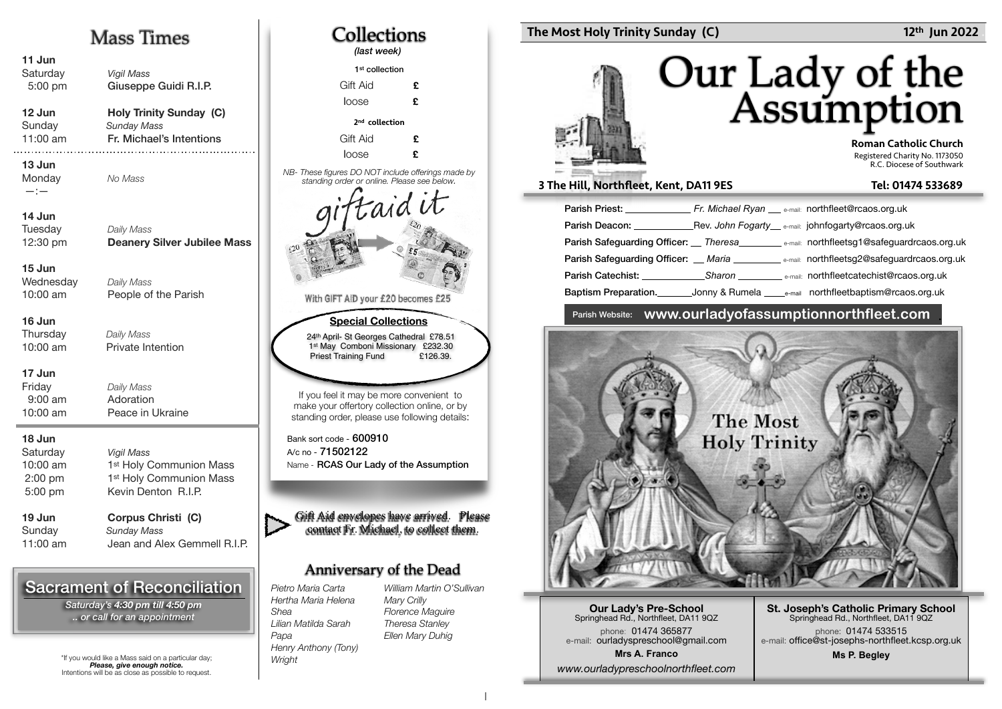## Mass Times

| 11 Jun<br>Saturday<br>5:00 pm                          | <b>Vigil Mass</b><br>Giuseppe Guidi R.I.P.                                                                 |  |
|--------------------------------------------------------|------------------------------------------------------------------------------------------------------------|--|
| 12 Jun<br>Sunday<br>11:00 am                           | <b>Holy Trinity Sunday (C)</b><br><b>Sunday Mass</b><br>Fr. Michael's Intentions                           |  |
| 13 Jun<br>Monday<br>$-:-$                              | No Mass                                                                                                    |  |
| 14 Jun<br>Tuesday<br>12:30 pm                          | Daily Mass<br><b>Deanery Silver Jubilee Mass</b>                                                           |  |
| 15 Jun<br>Wednesday<br>10:00 am                        | Daily Mass<br>People of the Parish                                                                         |  |
| 16 Jun<br>Thursday<br>10:00 am                         | Daily Mass<br>Private Intention                                                                            |  |
| 17 Jun<br>Friday<br>$9:00$ am<br>10:00 am              | Daily Mass<br>Adoration<br>Peace in Ukraine                                                                |  |
| 18 Jun<br>Saturday<br>10:00 am<br>$2:00$ pm<br>5:00 pm | <b>Vigil Mass</b><br>1 <sup>st</sup> Holy Communion Mass<br>1st Holy Communion Mass<br>Kevin Denton R.I.P. |  |
| 19 Jun<br>Sunday<br>11:00 am                           | Corpus Christi (C)<br><b>Sunday Mass</b><br>Jean and Alex Gemmell R.I.P.                                   |  |
|                                                        |                                                                                                            |  |

## Sacrament of Reconciliation

*Saturday's 4:30 pm till 4:50 pm .. or call for an appointment*

\*If you would like a Mass said on a particular day; *Please, give enough notice.* Intentions will be as close as possible to request.



### The Most Holy Trinity Sunday (C) 12th Jun 2022

# Our Lady of the<br>Assumption

 Roman Catholic Church Registered Charity No. 1173050 R.C. Diocese of Southwark

#### 3 The Hill, Northfleet, Kent, DA11 9ES Tel: 01474 533689

| <b>Parish Priest:</b> Fr. Michael Ryan e-mail: northfleet@rcaos.org.uk |                                                    |                                                                                                                             |
|------------------------------------------------------------------------|----------------------------------------------------|-----------------------------------------------------------------------------------------------------------------------------|
| Parish Deacon: The Contract of the Parish Deacon:                      | Rev. John Fogarty e-mail: johnfogarty@rcaos.org.uk |                                                                                                                             |
|                                                                        |                                                    | Parish Safeguarding Officer: __ Theresa___________ e-mail: northfleetsg1@safeguardrcaos.org.uk                              |
|                                                                        |                                                    | <b>Parish Safequarding Officer:</b> Maria <b>National State of the Care of Care and States</b> and Parish Parish Directors. |
|                                                                        |                                                    | <b>Parish Catechist:</b> Sharon <b>Example 2016</b> and the email: northfleetcatechist@rcaos.org.uk                         |
|                                                                        |                                                    | Baptism Preparation. Compy & Rumela Comparison northfleet baptism@rcaos.org.uk                                              |

### Parish Website: **www.ourladyofassumptionnorthfleet.com** .